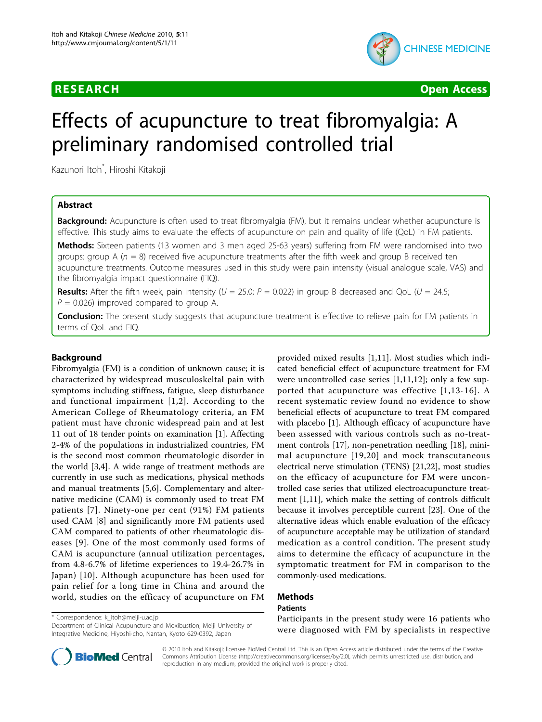## **RESEARCH CONTROL** CONTROL CONTROL CONTROL CONTROL CONTROL CONTROL CONTROL CONTROL CONTROL CONTROL CONTROL CONTROL



# Effects of acupuncture to treat fibromyalgia: A preliminary randomised controlled trial

Kazunori Itoh\* , Hiroshi Kitakoji

## Abstract

**Background:** Acupuncture is often used to treat fibromyalgia (FM), but it remains unclear whether acupuncture is effective. This study aims to evaluate the effects of acupuncture on pain and quality of life (QoL) in FM patients.

Methods: Sixteen patients (13 women and 3 men aged 25-63 years) suffering from FM were randomised into two groups: group A ( $n = 8$ ) received five acupuncture treatments after the fifth week and group B received ten acupuncture treatments. Outcome measures used in this study were pain intensity (visual analogue scale, VAS) and the fibromyalgia impact questionnaire (FIQ).

**Results:** After the fifth week, pain intensity ( $U = 25.0$ ;  $P = 0.022$ ) in group B decreased and QoL ( $U = 24.5$ ;  $P = 0.026$ ) improved compared to group A.

**Conclusion:** The present study suggests that acupuncture treatment is effective to relieve pain for FM patients in terms of QoL and FIQ.

#### Background

Fibromyalgia (FM) is a condition of unknown cause; it is characterized by widespread musculoskeltal pain with symptoms including stiffness, fatigue, sleep disturbance and functional impairment [[1,2](#page-5-0)]. According to the American College of Rheumatology criteria, an FM patient must have chronic widespread pain and at lest 11 out of 18 tender points on examination [[1\]](#page-5-0). Affecting 2-4% of the populations in industrialized countries, FM is the second most common rheumatologic disorder in the world [\[3](#page-5-0),[4\]](#page-5-0). A wide range of treatment methods are currently in use such as medications, physical methods and manual treatments [[5,6\]](#page-5-0). Complementary and alternative medicine (CAM) is commonly used to treat FM patients [[7](#page-5-0)]. Ninety-one per cent (91%) FM patients used CAM [[8\]](#page-5-0) and significantly more FM patients used CAM compared to patients of other rheumatologic diseases [[9\]](#page-5-0). One of the most commonly used forms of CAM is acupuncture (annual utilization percentages, from 4.8-6.7% of lifetime experiences to 19.4-26.7% in Japan) [[10](#page-5-0)]. Although acupuncture has been used for pain relief for a long time in China and around the world, studies on the efficacy of acupuncture on FM

provided mixed results [[1](#page-5-0),[11\]](#page-5-0). Most studies which indicated beneficial effect of acupuncture treatment for FM were uncontrolled case series [[1,11](#page-5-0),[12\]](#page-5-0); only a few supported that acupuncture was effective [[1,13](#page-5-0)-[16](#page-5-0)]. A recent systematic review found no evidence to show beneficial effects of acupuncture to treat FM compared with placebo [[1\]](#page-5-0). Although efficacy of acupuncture have been assessed with various controls such as no-treatment controls [[17\]](#page-5-0), non-penetration needling [[18\]](#page-5-0), minimal acupuncture [[19](#page-5-0),[20\]](#page-5-0) and mock transcutaneous electrical nerve stimulation (TENS) [[21](#page-5-0),[22](#page-5-0)], most studies on the efficacy of acupuncture for FM were uncontrolled case series that utilized electroacupuncture treatment [[1](#page-5-0),[11\]](#page-5-0), which make the setting of controls difficult because it involves perceptible current [[23\]](#page-5-0). One of the alternative ideas which enable evaluation of the efficacy of acupuncture acceptable may be utilization of standard medication as a control condition. The present study aims to determine the efficacy of acupuncture in the symptomatic treatment for FM in comparison to the commonly-used medications.

## Methods

## Patients

Integrative Medicine, Hiyoshi-cho, Nantan, Kyoto 629-0392, Japan



Participants in the present study were 16 patients who were diagnosed with FM by specialists in respective

© 2010 Itoh and Kitakoji; licensee BioMed Central Ltd. This is an Open Access article distributed under the terms of the Creative Commons Attribution License [\(http://creativecommons.org/licenses/by/2.0](http://creativecommons.org/licenses/by/2.0)), which permits unrestricted use, distribution, and reproduction in any medium, provided the original work is properly cited.

<sup>\*</sup> Correspondence: [k\\_itoh@meiji-u.ac.jp](mailto:k_itoh@meiji-u.ac.jp) Department of Clinical Acupuncture and Moxibustion, Meiji University of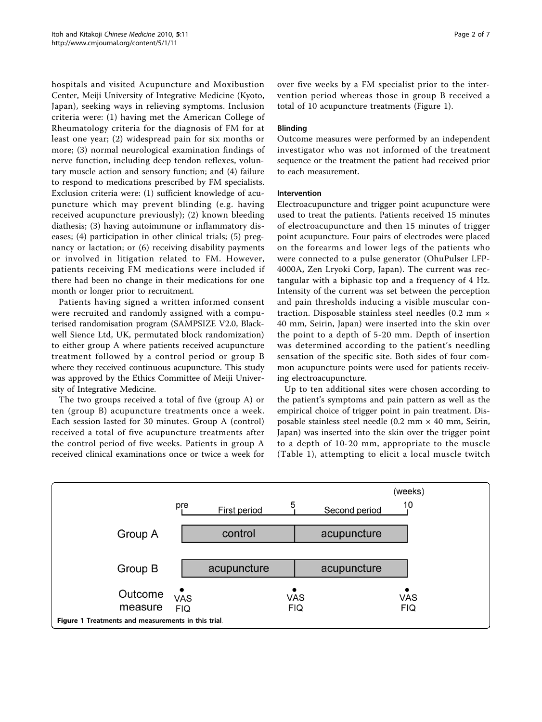hospitals and visited Acupuncture and Moxibustion Center, Meiji University of Integrative Medicine (Kyoto, Japan), seeking ways in relieving symptoms. Inclusion criteria were: (1) having met the American College of Rheumatology criteria for the diagnosis of FM for at least one year; (2) widespread pain for six months or more; (3) normal neurological examination findings of nerve function, including deep tendon reflexes, voluntary muscle action and sensory function; and (4) failure to respond to medications prescribed by FM specialists. Exclusion criteria were: (1) sufficient knowledge of acupuncture which may prevent blinding (e.g. having received acupuncture previously); (2) known bleeding diathesis; (3) having autoimmune or inflammatory diseases; (4) participation in other clinical trials; (5) pregnancy or lactation; or (6) receiving disability payments or involved in litigation related to FM. However, patients receiving FM medications were included if there had been no change in their medications for one month or longer prior to recruitment.

Patients having signed a written informed consent were recruited and randomly assigned with a computerised randomisation program (SAMPSIZE V2.0, Blackwell Sience Ltd, UK, permutated block randomization) to either group A where patients received acupuncture treatment followed by a control period or group B where they received continuous acupuncture. This study was approved by the Ethics Committee of Meiji University of Integrative Medicine.

The two groups received a total of five (group A) or ten (group B) acupuncture treatments once a week. Each session lasted for 30 minutes. Group A (control) received a total of five acupuncture treatments after the control period of five weeks. Patients in group A received clinical examinations once or twice a week for over five weeks by a FM specialist prior to the intervention period whereas those in group B received a total of 10 acupuncture treatments (Figure 1).

### Blinding

Outcome measures were performed by an independent investigator who was not informed of the treatment sequence or the treatment the patient had received prior to each measurement.

### Intervention

Electroacupuncture and trigger point acupuncture were used to treat the patients. Patients received 15 minutes of electroacupuncture and then 15 minutes of trigger point acupuncture. Four pairs of electrodes were placed on the forearms and lower legs of the patients who were connected to a pulse generator (OhuPulser LFP-4000A, Zen Lryoki Corp, Japan). The current was rectangular with a biphasic top and a frequency of 4 Hz. Intensity of the current was set between the perception and pain thresholds inducing a visible muscular contraction. Disposable stainless steel needles (0.2 mm × 40 mm, Seirin, Japan) were inserted into the skin over the point to a depth of 5-20 mm. Depth of insertion was determined according to the patient's needling sensation of the specific site. Both sides of four common acupuncture points were used for patients receiving electroacupuncture.

Up to ten additional sites were chosen according to the patient's symptoms and pain pattern as well as the empirical choice of trigger point in pain treatment. Disposable stainless steel needle  $(0.2 \text{ mm} \times 40 \text{ mm}$ , Seirin, Japan) was inserted into the skin over the trigger point to a depth of 10-20 mm, appropriate to the muscle (Table [1](#page-2-0)), attempting to elicit a local muscle twitch

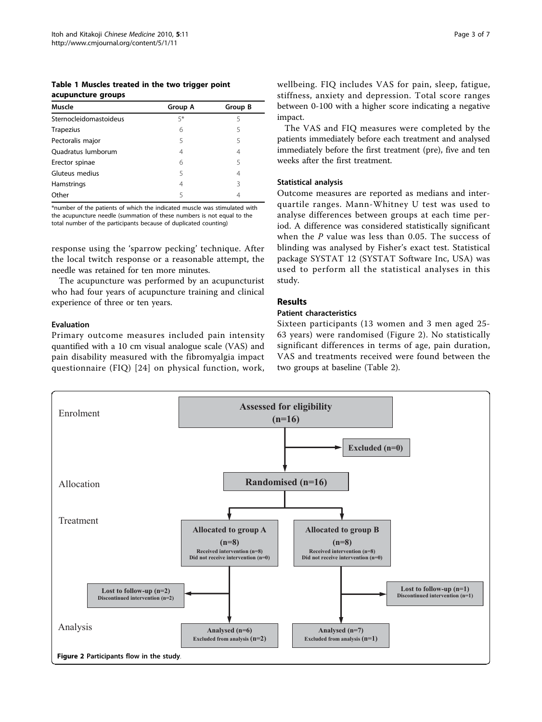<span id="page-2-0"></span>Table 1 Muscles treated in the two trigger point acupuncture groups

| <b>Muscle</b>          | Group A | Group B |
|------------------------|---------|---------|
| Sternocleidomastoideus | 5*      | 5       |
| <b>Trapezius</b>       | 6       | 5       |
| Pectoralis major       | 5       | 5       |
| Quadratus lumborum     | 4       | 4       |
| Erector spinae         | 6       | 5       |
| Gluteus medius         | 5       | 4       |
| Hamstrings             | 4       | 3       |
| Other                  | 5       | 4       |

\*number of the patients of which the indicated muscle was stimulated with the acupuncture needle (summation of these numbers is not equal to the total number of the participants because of duplicated counting)

response using the 'sparrow pecking' technique. After the local twitch response or a reasonable attempt, the needle was retained for ten more minutes.

The acupuncture was performed by an acupuncturist who had four years of acupuncture training and clinical experience of three or ten years.

#### Evaluation

Primary outcome measures included pain intensity quantified with a 10 cm visual analogue scale (VAS) and pain disability measured with the fibromyalgia impact questionnaire (FIQ) [[24](#page-5-0)] on physical function, work, wellbeing. FIQ includes VAS for pain, sleep, fatigue, stiffness, anxiety and depression. Total score ranges between 0-100 with a higher score indicating a negative impact.

The VAS and FIQ measures were completed by the patients immediately before each treatment and analysed immediately before the first treatment (pre), five and ten weeks after the first treatment.

#### Statistical analysis

Outcome measures are reported as medians and interquartile ranges. Mann-Whitney U test was used to analyse differences between groups at each time period. A difference was considered statistically significant when the P value was less than 0.05. The success of blinding was analysed by Fisher's exact test. Statistical package SYSTAT 12 (SYSTAT Software Inc, USA) was used to perform all the statistical analyses in this study.

#### Results

#### Patient characteristics

Sixteen participants (13 women and 3 men aged 25- 63 years) were randomised (Figure 2). No statistically significant differences in terms of age, pain duration, VAS and treatments received were found between the two groups at baseline (Table [2\)](#page-3-0).

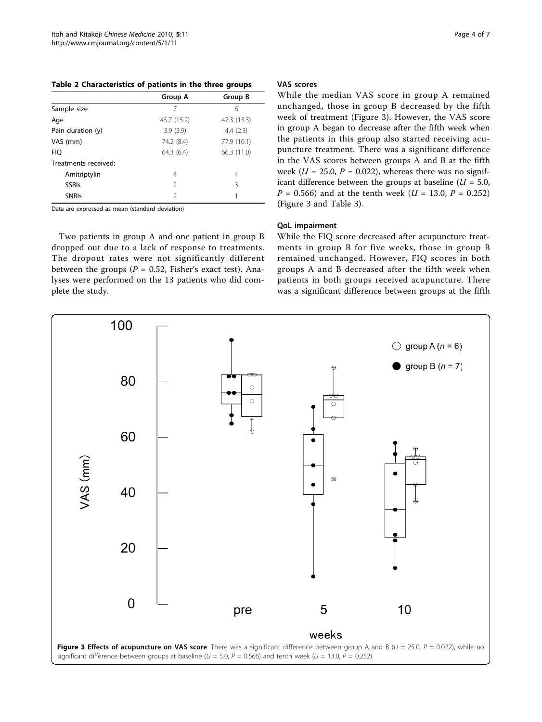<span id="page-3-0"></span>Table 2 Characteristics of patients in the three groups

|                      | Group A        | Group B     |
|----------------------|----------------|-------------|
| Sample size          | 7              | 6           |
| Age                  | 45.7 (15.2)    | 47.3 (13.3) |
| Pain duration (y)    | 3.9(3.9)       | 4.4(2.3)    |
| VAS (mm)             | 74.2 (8.4)     | 77.9 (10.1) |
| <b>FIO</b>           | 64.3(6.4)      | 66.3 (11.0) |
| Treatments received: |                |             |
| Amitriptylin         | 4              | 4           |
| <b>SSRIs</b>         | $\mathfrak{D}$ | 3           |
| <b>SNRIS</b>         | $\mathcal{P}$  |             |

Data are expressed as mean (standard deviation)

Two patients in group A and one patient in group B dropped out due to a lack of response to treatments. The dropout rates were not significantly different between the groups ( $P = 0.52$ , Fisher's exact test). Analyses were performed on the 13 patients who did complete the study.

## VAS scores

While the median VAS score in group A remained unchanged, those in group B decreased by the fifth week of treatment (Figure 3). However, the VAS score in group A began to decrease after the fifth week when the patients in this group also started receiving acupuncture treatment. There was a significant difference in the VAS scores between groups A and B at the fifth week ( $U = 25.0$ ,  $P = 0.022$ ), whereas there was no significant difference between the groups at baseline ( $U = 5.0$ ,  $P = 0.566$ ) and at the tenth week ( $U = 13.0, P = 0.252$ ) (Figure 3 and Table [3](#page-4-0)).

#### QoL impairment

While the FIQ score decreased after acupuncture treatments in group B for five weeks, those in group B remained unchanged. However, FIQ scores in both groups A and B decreased after the fifth week when patients in both groups received acupuncture. There was a significant difference between groups at the fifth

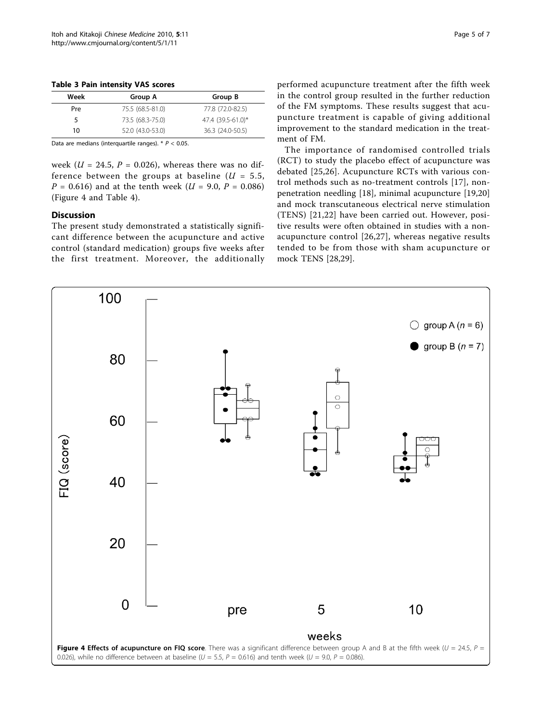<span id="page-4-0"></span>Table 3 Pain intensity VAS scores

| Week | Group A          | Group B           |
|------|------------------|-------------------|
| Pre  | 75.5 (68.5-81.0) | 77.8 (72.0-82.5)  |
| 5    | 73.5 (68.3-75.0) | 47.4 (39.5-61.0)* |
| 10   | 52.0 (43.0-53.0) | 36.3 (24.0-50.5)  |
|      |                  |                   |

Data are medians (interquartile ranges).  $* P < 0.05$ .

week ( $U = 24.5$ ,  $P = 0.026$ ), whereas there was no difference between the groups at baseline ( $U = 5.5$ ,  $P = 0.616$ ) and at the tenth week ( $U = 9.0, P = 0.086$ ) (Figure 4 and Table [4](#page-5-0)).

## Discussion

The present study demonstrated a statistically significant difference between the acupuncture and active control (standard medication) groups five weeks after the first treatment. Moreover, the additionally performed acupuncture treatment after the fifth week in the control group resulted in the further reduction of the FM symptoms. These results suggest that acupuncture treatment is capable of giving additional improvement to the standard medication in the treatment of FM.

The importance of randomised controlled trials (RCT) to study the placebo effect of acupuncture was debated [[25](#page-5-0)[,26\]](#page-6-0). Acupuncture RCTs with various control methods such as no-treatment controls [[17](#page-5-0)], nonpenetration needling [[18\]](#page-5-0), minimal acupuncture [[19,20](#page-5-0)] and mock transcutaneous electrical nerve stimulation (TENS) [[21,22\]](#page-5-0) have been carried out. However, positive results were often obtained in studies with a nonacupuncture control [\[26,27\]](#page-6-0), whereas negative results tended to be from those with sham acupuncture or mock TENS [\[28,29](#page-6-0)].

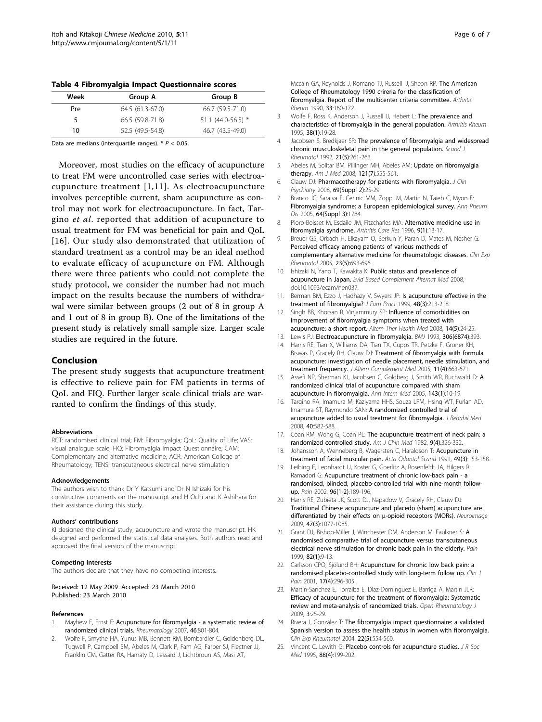<span id="page-5-0"></span>Table 4 Fibromyalgia Impact Questionnaire scores

| Week | Group A          | Group B            |
|------|------------------|--------------------|
| Pre  | 64.5 (61.3-67.0) | 66.7 (59.5-71.0)   |
| 5    | 66.5 (59.8-71.8) | 51.1 (44.0-56.5) * |
| 10   | 52.5 (49.5-54.8) | 46.7 (43.5-49.0)   |

Data are medians (interquartile ranges).  $* P < 0.05$ .

Moreover, most studies on the efficacy of acupuncture to treat FM were uncontrolled case series with electroacupuncture treatment [1,11]. As electroacupuncture involves perceptible current, sham acupuncture as control may not work for electroacupuncture. In fact, Targino et al. reported that addition of acupuncture to usual treatment for FM was beneficial for pain and QoL [16]. Our study also demonstrated that utilization of standard treatment as a control may be an ideal method to evaluate efficacy of acupuncture on FM. Although there were three patients who could not complete the study protocol, we consider the number had not much impact on the results because the numbers of withdrawal were similar between groups (2 out of 8 in group A and 1 out of 8 in group B). One of the limitations of the present study is relatively small sample size. Larger scale studies are required in the future.

#### Conclusion

The present study suggests that acupuncture treatment is effective to relieve pain for FM patients in terms of QoL and FIQ. Further larger scale clinical trials are warranted to confirm the findings of this study.

#### Abbreviations

RCT: randomised clinical trial; FM: Fibromyalgia; QoL: Quality of Life; VAS: visual analogue scale; FIQ: Fibromyalgia Impact Questionnaire; CAM: Complementary and alternative medicine; ACR: American College of Rheumatology; TENS: transcutaneous electrical nerve stimulation

#### Acknowledgements

The authors wish to thank Dr Y Katsumi and Dr N Ishizaki for his constructive comments on the manuscript and H Ochi and K Ashihara for their assistance during this study.

#### Authors' contributions

KI designed the clinical study, acupuncture and wrote the manuscript. HK designed and performed the statistical data analyses. Both authors read and approved the final version of the manuscript.

#### Competing interests

The authors declare that they have no competing interests.

Received: 12 May 2009 Accepted: 23 March 2010 Published: 23 March 2010

#### References

- 1. Mayhew E, Ernst E: [Acupuncture for fibromyalgia a systematic review of](http://www.ncbi.nlm.nih.gov/pubmed/17189243?dopt=Abstract) [randomized clinical trials.](http://www.ncbi.nlm.nih.gov/pubmed/17189243?dopt=Abstract) Rheumatology 2007, 46:801-804.
- 2. Wolfe F, Smythe HA, Yunus MB, Bennett RM, Bombardier C, Goldenberg DL, Tugwell P, Campbell SM, Abeles M, Clark P, Fam AG, Farber SJ, Fiectner JJ, Franklin CM, Gatter RA, Hamaty D, Lessard J, Lichtbroun AS, Masi AT,

Mccain GA, Reynolds J, Romano TJ, Russell IJ, Sheon RP: [The American](http://www.ncbi.nlm.nih.gov/pubmed/2306288?dopt=Abstract) [College of Rheumatology 1990 crireria for the classification of](http://www.ncbi.nlm.nih.gov/pubmed/2306288?dopt=Abstract) [fibromyalgia. Report of the multicenter criteria committee.](http://www.ncbi.nlm.nih.gov/pubmed/2306288?dopt=Abstract) Arthritis Rheum 1990, 33:160-172.

- 3. Wolfe F, Ross K, Anderson J, Russell IJ, Hebert L: [The prevalence and](http://www.ncbi.nlm.nih.gov/pubmed/7818567?dopt=Abstract) [characteristics of fibromyalgia in the general population.](http://www.ncbi.nlm.nih.gov/pubmed/7818567?dopt=Abstract) Arthritis Rheum 1995, 38(1):19-28.
- 4. Jacobsen S, Bredkjaer SR: [The prevalence of fibromyalgia and widespread](http://www.ncbi.nlm.nih.gov/pubmed/1439637?dopt=Abstract) [chronic musculoskeletal pain in the general population.](http://www.ncbi.nlm.nih.gov/pubmed/1439637?dopt=Abstract) Scand J Rheumatol 1992, 21(5):261-263.
- 5. Abeles M, Solitar BM, Pillinger MH, Abeles AM: [Update on fibromyalgia](http://www.ncbi.nlm.nih.gov/pubmed/18589048?dopt=Abstract) [therapy.](http://www.ncbi.nlm.nih.gov/pubmed/18589048?dopt=Abstract) Am J Med 2008, 121(7):555-561.
- 6. Clauw DJ: [Pharmacotherapy for patients with fibromyalgia.](http://www.ncbi.nlm.nih.gov/pubmed/18537460?dopt=Abstract) J Clin Psychiatry 2008, 69(Suppl 2):25-29.
- 7. Branco JC, Saraiva F, Cerinic MM, Zoppi M, Martin N, Taieb C, Myon E: Fibromyaigia syndrome: a European epidemiological survey. Ann Rheum Dis 2005, **64(Suppl 3)**:1784.
- 8. Pioro-Boisset M, Esdaile JM, Fitzcharles MA: [Alternative medicine use in](http://www.ncbi.nlm.nih.gov/pubmed/8945108?dopt=Abstract) [fibromyalgia syndrome.](http://www.ncbi.nlm.nih.gov/pubmed/8945108?dopt=Abstract) Arthritis Care Res 1996, 9(1):13-17.
- 9. Breuer GS, Orbach H, Elkayam O, Berkun Y, Paran D, Mates M, Nesher G: [Perceived efficacy among patients of various methods of](http://www.ncbi.nlm.nih.gov/pubmed/16173249?dopt=Abstract) [complementary alternative medicine for rheumatologic diseases.](http://www.ncbi.nlm.nih.gov/pubmed/16173249?dopt=Abstract) Clin Exp Rheumatol 2005, 23(5):693-696.
- 10. Ishizaki N, Yano T, Kawakita K: Public status and prevalence of acupuncture in Japan. Evid Based Complement Alternat Med 2008, doi:10.1093/ecam/nen037.
- 11. Berman BM, Ezzo J, Hadhazy V, Swyers JP: [Is acupuncture effective in the](http://www.ncbi.nlm.nih.gov/pubmed/10086765?dopt=Abstract) [treatment of fibromyalgia?](http://www.ncbi.nlm.nih.gov/pubmed/10086765?dopt=Abstract) J Fam Pract 1999, 48(3):213-218.
- 12. Singh BB, Khorsan R, Vinjammury SP: [Influence of comorbidities on](http://www.ncbi.nlm.nih.gov/pubmed/18780581?dopt=Abstract) [improvement of fibromyalgia symptoms when treated with](http://www.ncbi.nlm.nih.gov/pubmed/18780581?dopt=Abstract) [acupuncture: a short report.](http://www.ncbi.nlm.nih.gov/pubmed/18780581?dopt=Abstract) Altern Ther Health Med 2008, 14(5):24-25.
- 13. Lewis PJ: [Electroacupuncture in fibromyalgia.](http://www.ncbi.nlm.nih.gov/pubmed/8461698?dopt=Abstract) BMJ 1993, 306(6874):393.
- 14. Harris RE, Tian X, Williams DA, Tian TX, Cupps TR, Petzke F, Groner KH, Biswas P, Gracely RH, Clauw DJ: [Treatment of fibromyalgia with formula](http://www.ncbi.nlm.nih.gov/pubmed/16131290?dopt=Abstract) [acupuncture: investigation of needle placement, needle stimulation, and](http://www.ncbi.nlm.nih.gov/pubmed/16131290?dopt=Abstract) [treatment frequency.](http://www.ncbi.nlm.nih.gov/pubmed/16131290?dopt=Abstract) J Altern Complement Med 2005, 11(4):663-671.
- 15. [A](http://www.ncbi.nlm.nih.gov/pubmed/15998750?dopt=Abstract)ssefi NP, Sherman KJ, Jacobsen C, Goldberg J, Smith WR, Buchwald D: A [randomized clinical trial of acupuncture compared with sham](http://www.ncbi.nlm.nih.gov/pubmed/15998750?dopt=Abstract) [acupuncture in fibromyalgia.](http://www.ncbi.nlm.nih.gov/pubmed/15998750?dopt=Abstract) Ann Intern Med 2005, 143(1):10-19.
- 16. Targino RA, Imamura M, Kaziyama HHS, Souza LPM, Hsing WT, Furlan AD, Imamura ST, Raymundo SAN: [A randomized controlled trial of](http://www.ncbi.nlm.nih.gov/pubmed/18758677?dopt=Abstract) [acupuncture added to usual treatment for fibromyalgia.](http://www.ncbi.nlm.nih.gov/pubmed/18758677?dopt=Abstract) J Rehabil Med 2008, 40:582-588.
- 17. Coan RM, Wong G, Coan PL: The acupuncture treatment of neck pain: a randomized controlled study. Am J Chin Med 1982, 9(4):326-332.
- 18. Johansson A, Wenneberg B, Wagersten C, Haraldson T: [Acupuncture in](http://www.ncbi.nlm.nih.gov/pubmed/1882649?dopt=Abstract) [treatment of facial muscular pain.](http://www.ncbi.nlm.nih.gov/pubmed/1882649?dopt=Abstract) Acta Odontol Scand 1991, 49(3):153-158.
- 19. Leibing E, Leonhardt U, Koster G, Goerlitz A, Rosenfeldt JA, Hilgers R, Ramadori G: [Acupuncture treatment of chronic low-back pain - a](http://www.ncbi.nlm.nih.gov/pubmed/11932074?dopt=Abstract) [randomised, blinded, placebo-controlled trial with nine-month follow](http://www.ncbi.nlm.nih.gov/pubmed/11932074?dopt=Abstract)[up.](http://www.ncbi.nlm.nih.gov/pubmed/11932074?dopt=Abstract) Pain 2002, 96(1-2):189-196.
- 20. Harris RE, Zubieta JK, Scott DJ, Napadow V, Gracely RH, Clauw DJ: [Traditional Chinese acupuncture and placedo \(sham\) acupuncture are](http://www.ncbi.nlm.nih.gov/pubmed/19501658?dopt=Abstract) [differentiated by their effects on](http://www.ncbi.nlm.nih.gov/pubmed/19501658?dopt=Abstract) μ-opioid receptors (MORs). Neuroimage 2009, 47(3):1077-1085.
- 21. Grant DJ, Bishop-Miller J, Winchester DM, [A](http://www.ncbi.nlm.nih.gov/pubmed/10422654?dopt=Abstract)nderson M, Faulkner S: A [randomised comparative trial of acupuncture versus transcutaneous](http://www.ncbi.nlm.nih.gov/pubmed/10422654?dopt=Abstract) [electrical nerve stimulation for chronic back pain in the elderly.](http://www.ncbi.nlm.nih.gov/pubmed/10422654?dopt=Abstract) Pain 1999, 82(1):9-13.
- 22. Carlsson CPO, Sjölund BH: [Acupuncture for chronic low back pain: a](http://www.ncbi.nlm.nih.gov/pubmed/11783809?dopt=Abstract) [randomised placebo-controlled study with long-term follow up.](http://www.ncbi.nlm.nih.gov/pubmed/11783809?dopt=Abstract) Clin J Pain 2001, 17(4):296-305.
- 23. Martin-Sanchez E, Torralba E, Diaz-Dominguez E, Barriga A, Martin JLR: Efficacy of acupuncture for the treatment of fibromyalgia: Systematic review and meta-analysis of randomized trials. Open Rheumatology J 2009, 3:25-29.
- 24. Rivera J, González T: [The fibromyalgia impact questionnaire: a validated](http://www.ncbi.nlm.nih.gov/pubmed/15485007?dopt=Abstract) [Spanish version to assess the health status in women with fibromyalgia.](http://www.ncbi.nlm.nih.gov/pubmed/15485007?dopt=Abstract) Clin Exp Rheumatol 2004, 22(5):554-560.
- 25. Vincent C, Lewith G: [Placebo controls for acupuncture studies.](http://www.ncbi.nlm.nih.gov/pubmed/7745565?dopt=Abstract) J R Soc Med 1995, 88(4):199-202.